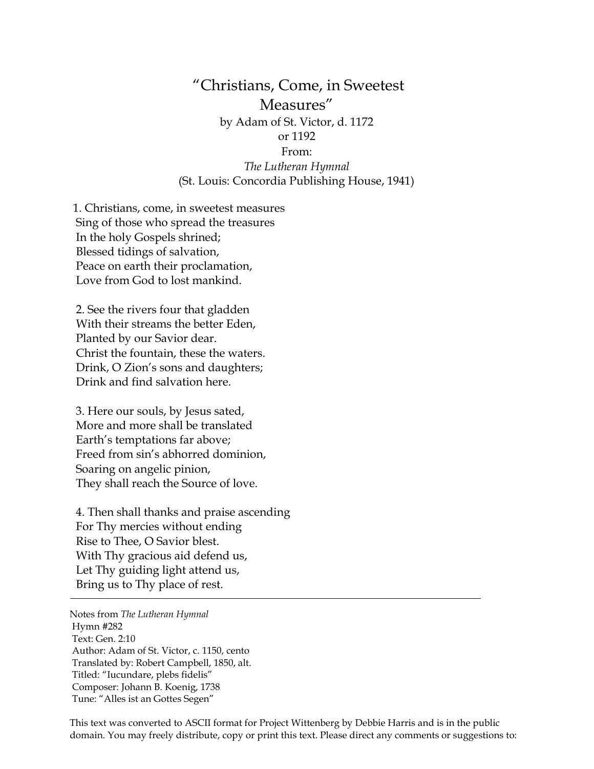## "Christians, Come, in Sweetest Measures" by Adam of St. Victor, d. 1172 or 1192 From: *The Lutheran Hymnal* (St. Louis: Concordia Publishing House, 1941)

1. Christians, come, in sweetest measures Sing of those who spread the treasures In the holy Gospels shrined; Blessed tidings of salvation, Peace on earth their proclamation, Love from God to lost mankind.

2. See the rivers four that gladden With their streams the better Eden, Planted by our Savior dear. Christ the fountain, these the waters. Drink, O Zion's sons and daughters; Drink and find salvation here.

3. Here our souls, by Jesus sated, More and more shall be translated Earth's temptations far above; Freed from sin's abhorred dominion, Soaring on angelic pinion, They shall reach the Source of love.

4. Then shall thanks and praise ascending For Thy mercies without ending Rise to Thee, O Savior blest. With Thy gracious aid defend us, Let Thy guiding light attend us, Bring us to Thy place of rest.

Notes from *The Lutheran Hymnal* Hymn #282 Text: Gen. 2:10 Author: Adam of St. Victor, c. 1150, cento Translated by: Robert Campbell, 1850, alt. Titled: "Iucundare, plebs fidelis" Composer: Johann B. Koenig, 1738 Tune: "Alles ist an Gottes Segen"

This text was converted to ASCII format for Project Wittenberg by Debbie Harris and is in the public domain. You may freely distribute, copy or print this text. Please direct any comments or suggestions to: